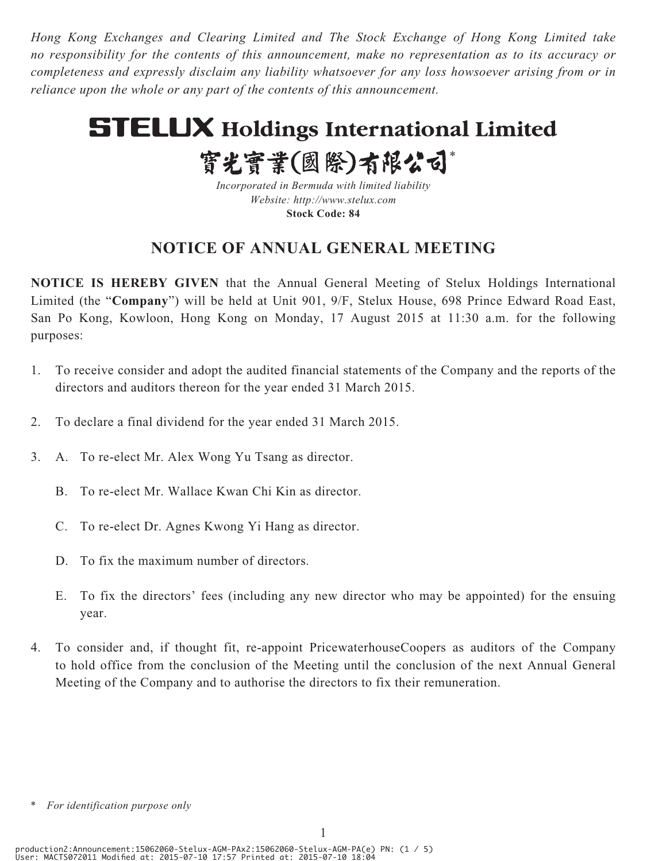*Hong Kong Exchanges and Clearing Limited and The Stock Exchange of Hong Kong Limited take no responsibility for the contents of this announcement, make no representation as to its accuracy or completeness and expressly disclaim any liability whatsoever for any loss howsoever arising from or in reliance upon the whole or any part of the contents of this announcement.*

# **STELUX Holdings International Limited**

實光實業(國際)有限公司\*

*Incorporated in Bermuda with limited liability Website: http://www.stelux.com* **Stock Code: 84**

## **NOTICE OF ANNUAL GENERAL MEETING**

**NOTICE IS HEREBY GIVEN** that the Annual General Meeting of Stelux Holdings International Limited (the "**Company**") will be held at Unit 901, 9/F, Stelux House, 698 Prince Edward Road East, San Po Kong, Kowloon, Hong Kong on Monday, 17 August 2015 at 11:30 a.m. for the following purposes:

- 1. To receive consider and adopt the audited financial statements of the Company and the reports of the directors and auditors thereon for the year ended 31 March 2015.
- 2. To declare a final dividend for the year ended 31 March 2015.
- 3. A. To re-elect Mr. Alex Wong Yu Tsang as director.
	- B. To re-elect Mr. Wallace Kwan Chi Kin as director.
	- C. To re-elect Dr. Agnes Kwong Yi Hang as director.
	- D. To fix the maximum number of directors.
	- E. To fix the directors' fees (including any new director who may be appointed) for the ensuing year.
- 4. To consider and, if thought fit, re-appoint PricewaterhouseCoopers as auditors of the Company to hold office from the conclusion of the Meeting until the conclusion of the next Annual General Meeting of the Company and to authorise the directors to fix their remuneration.

*<sup>\*</sup> For identification purpose only*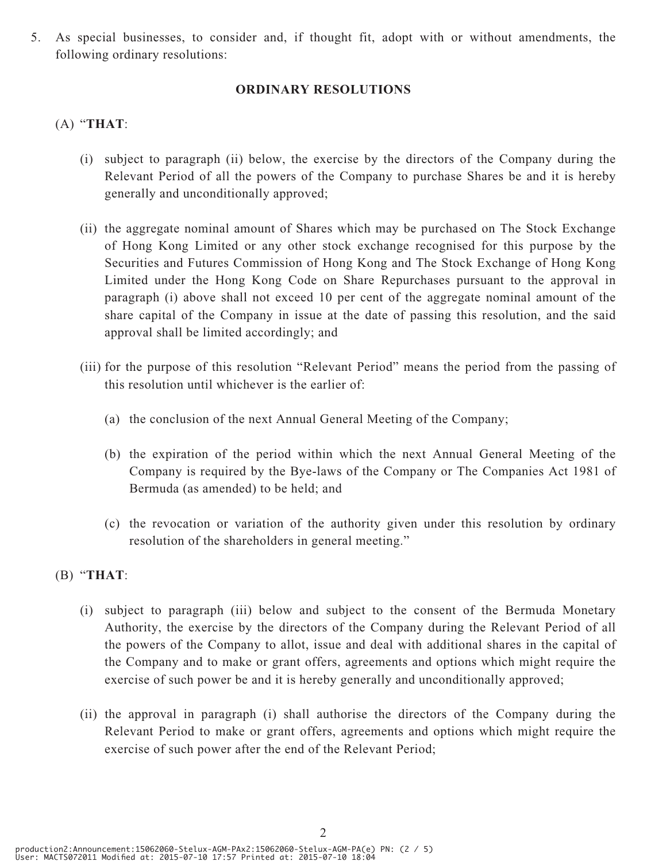5. As special businesses, to consider and, if thought fit, adopt with or without amendments, the following ordinary resolutions:

#### **ORDINARY RESOLUTIONS**

### (A) "**THAT**:

- (i) subject to paragraph (ii) below, the exercise by the directors of the Company during the Relevant Period of all the powers of the Company to purchase Shares be and it is hereby generally and unconditionally approved;
- (ii) the aggregate nominal amount of Shares which may be purchased on The Stock Exchange of Hong Kong Limited or any other stock exchange recognised for this purpose by the Securities and Futures Commission of Hong Kong and The Stock Exchange of Hong Kong Limited under the Hong Kong Code on Share Repurchases pursuant to the approval in paragraph (i) above shall not exceed 10 per cent of the aggregate nominal amount of the share capital of the Company in issue at the date of passing this resolution, and the said approval shall be limited accordingly; and
- (iii) for the purpose of this resolution "Relevant Period" means the period from the passing of this resolution until whichever is the earlier of:
	- (a) the conclusion of the next Annual General Meeting of the Company;
	- (b) the expiration of the period within which the next Annual General Meeting of the Company is required by the Bye-laws of the Company or The Companies Act 1981 of Bermuda (as amended) to be held; and
	- (c) the revocation or variation of the authority given under this resolution by ordinary resolution of the shareholders in general meeting."

#### (B) "**THAT**:

- (i) subject to paragraph (iii) below and subject to the consent of the Bermuda Monetary Authority, the exercise by the directors of the Company during the Relevant Period of all the powers of the Company to allot, issue and deal with additional shares in the capital of the Company and to make or grant offers, agreements and options which might require the exercise of such power be and it is hereby generally and unconditionally approved;
- (ii) the approval in paragraph (i) shall authorise the directors of the Company during the Relevant Period to make or grant offers, agreements and options which might require the exercise of such power after the end of the Relevant Period;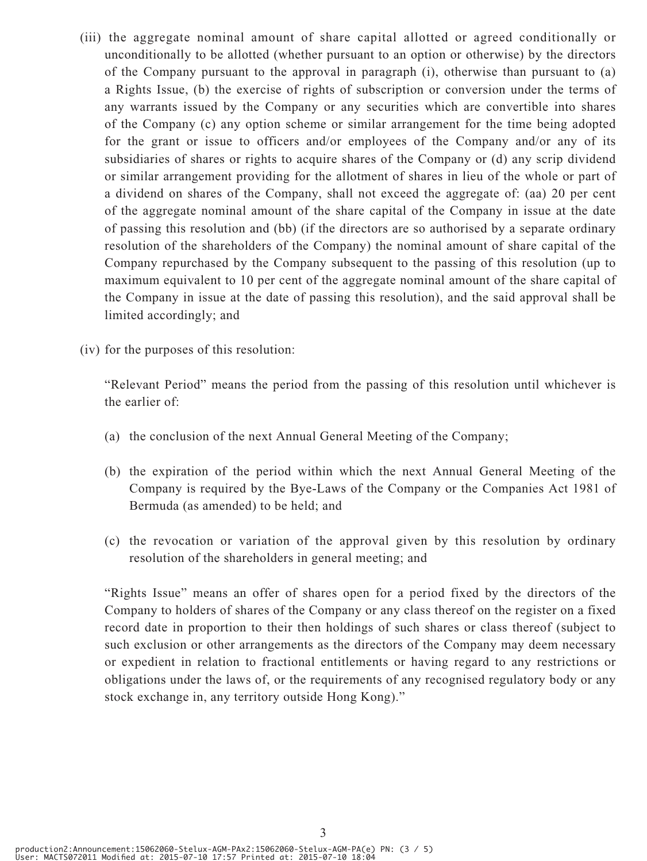- (iii) the aggregate nominal amount of share capital allotted or agreed conditionally or unconditionally to be allotted (whether pursuant to an option or otherwise) by the directors of the Company pursuant to the approval in paragraph (i), otherwise than pursuant to (a) a Rights Issue, (b) the exercise of rights of subscription or conversion under the terms of any warrants issued by the Company or any securities which are convertible into shares of the Company (c) any option scheme or similar arrangement for the time being adopted for the grant or issue to officers and/or employees of the Company and/or any of its subsidiaries of shares or rights to acquire shares of the Company or (d) any scrip dividend or similar arrangement providing for the allotment of shares in lieu of the whole or part of a dividend on shares of the Company, shall not exceed the aggregate of: (aa) 20 per cent of the aggregate nominal amount of the share capital of the Company in issue at the date of passing this resolution and (bb) (if the directors are so authorised by a separate ordinary resolution of the shareholders of the Company) the nominal amount of share capital of the Company repurchased by the Company subsequent to the passing of this resolution (up to maximum equivalent to 10 per cent of the aggregate nominal amount of the share capital of the Company in issue at the date of passing this resolution), and the said approval shall be limited accordingly; and
- (iv) for the purposes of this resolution:

"Relevant Period" means the period from the passing of this resolution until whichever is the earlier of:

- (a) the conclusion of the next Annual General Meeting of the Company;
- (b) the expiration of the period within which the next Annual General Meeting of the Company is required by the Bye-Laws of the Company or the Companies Act 1981 of Bermuda (as amended) to be held; and
- (c) the revocation or variation of the approval given by this resolution by ordinary resolution of the shareholders in general meeting; and

"Rights Issue" means an offer of shares open for a period fixed by the directors of the Company to holders of shares of the Company or any class thereof on the register on a fixed record date in proportion to their then holdings of such shares or class thereof (subject to such exclusion or other arrangements as the directors of the Company may deem necessary or expedient in relation to fractional entitlements or having regard to any restrictions or obligations under the laws of, or the requirements of any recognised regulatory body or any stock exchange in, any territory outside Hong Kong)."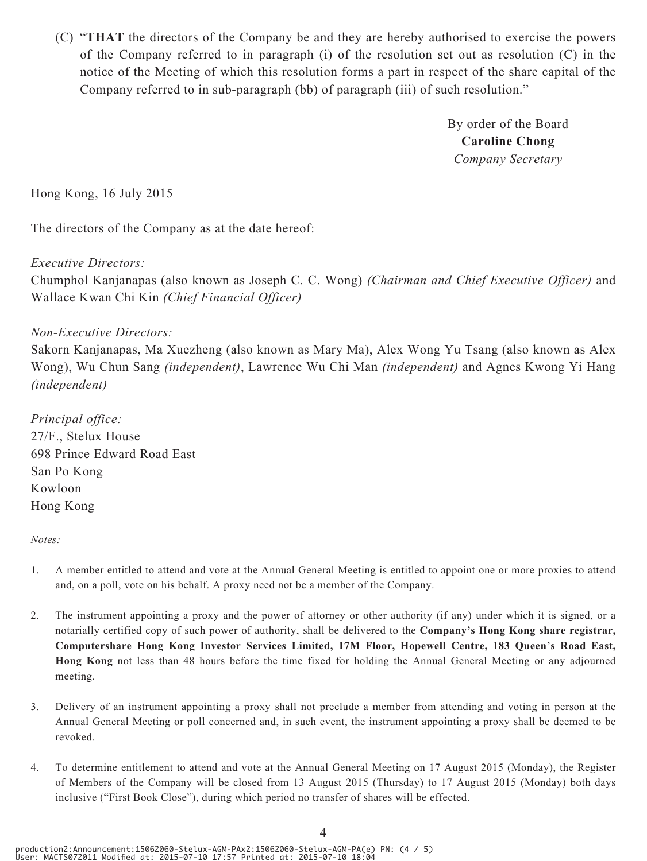(C) "**THAT** the directors of the Company be and they are hereby authorised to exercise the powers of the Company referred to in paragraph (i) of the resolution set out as resolution (C) in the notice of the Meeting of which this resolution forms a part in respect of the share capital of the Company referred to in sub-paragraph (bb) of paragraph (iii) of such resolution."

> By order of the Board **Caroline Chong** *Company Secretary*

Hong Kong, 16 July 2015

The directors of the Company as at the date hereof:

#### *Executive Directors:*

Chumphol Kanjanapas (also known as Joseph C. C. Wong) *(Chairman and Chief Executive Officer)* and Wallace Kwan Chi Kin *(Chief Financial Officer)*

#### *Non-Executive Directors:*

Sakorn Kanjanapas, Ma Xuezheng (also known as Mary Ma), Alex Wong Yu Tsang (also known as Alex Wong), Wu Chun Sang *(independent)*, Lawrence Wu Chi Man *(independent)* and Agnes Kwong Yi Hang *(independent)*

*Principal office:* 27/F., Stelux House 698 Prince Edward Road East San Po Kong Kowloon Hong Kong

#### *Notes:*

- 1. A member entitled to attend and vote at the Annual General Meeting is entitled to appoint one or more proxies to attend and, on a poll, vote on his behalf. A proxy need not be a member of the Company.
- 2. The instrument appointing a proxy and the power of attorney or other authority (if any) under which it is signed, or a notarially certified copy of such power of authority, shall be delivered to the **Company's Hong Kong share registrar, Computershare Hong Kong Investor Services Limited, 17M Floor, Hopewell Centre, 183 Queen's Road East, Hong Kong** not less than 48 hours before the time fixed for holding the Annual General Meeting or any adjourned meeting.
- 3. Delivery of an instrument appointing a proxy shall not preclude a member from attending and voting in person at the Annual General Meeting or poll concerned and, in such event, the instrument appointing a proxy shall be deemed to be revoked.
- 4. To determine entitlement to attend and vote at the Annual General Meeting on 17 August 2015 (Monday), the Register of Members of the Company will be closed from 13 August 2015 (Thursday) to 17 August 2015 (Monday) both days inclusive ("First Book Close"), during which period no transfer of shares will be effected.